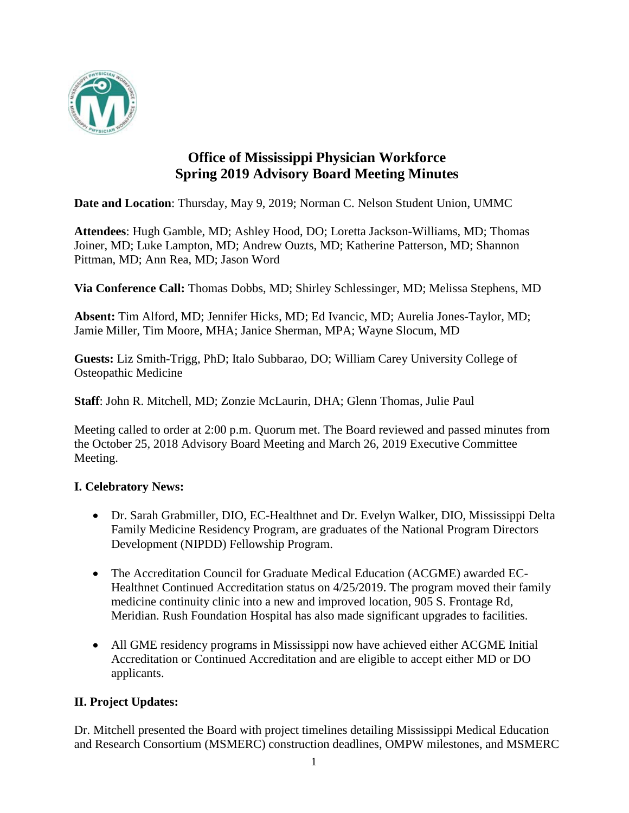

# **Office of Mississippi Physician Workforce Spring 2019 Advisory Board Meeting Minutes**

**Date and Location**: Thursday, May 9, 2019; Norman C. Nelson Student Union, UMMC

**Attendees**: Hugh Gamble, MD; Ashley Hood, DO; Loretta Jackson-Williams, MD; Thomas Joiner, MD; Luke Lampton, MD; Andrew Ouzts, MD; Katherine Patterson, MD; Shannon Pittman, MD; Ann Rea, MD; Jason Word

**Via Conference Call:** Thomas Dobbs, MD; Shirley Schlessinger, MD; Melissa Stephens, MD

**Absent:** Tim Alford, MD; Jennifer Hicks, MD; Ed Ivancic, MD; Aurelia Jones-Taylor, MD; Jamie Miller, Tim Moore, MHA; Janice Sherman, MPA; Wayne Slocum, MD

**Guests:** Liz Smith-Trigg, PhD; Italo Subbarao, DO; William Carey University College of Osteopathic Medicine

**Staff**: John R. Mitchell, MD; Zonzie McLaurin, DHA; Glenn Thomas, Julie Paul

Meeting called to order at 2:00 p.m. Quorum met. The Board reviewed and passed minutes from the October 25, 2018 Advisory Board Meeting and March 26, 2019 Executive Committee Meeting.

## **I. Celebratory News:**

- Dr. Sarah Grabmiller, DIO, EC-Healthnet and Dr. Evelyn Walker, DIO, Mississippi Delta Family Medicine Residency Program, are graduates of the National Program Directors Development (NIPDD) Fellowship Program.
- The Accreditation Council for Graduate Medical Education (ACGME) awarded EC-Healthnet Continued Accreditation status on 4/25/2019. The program moved their family medicine continuity clinic into a new and improved location, 905 S. Frontage Rd, Meridian. Rush Foundation Hospital has also made significant upgrades to facilities.
- All GME residency programs in Mississippi now have achieved either ACGME Initial Accreditation or Continued Accreditation and are eligible to accept either MD or DO applicants.

## **II. Project Updates:**

Dr. Mitchell presented the Board with project timelines detailing Mississippi Medical Education and Research Consortium (MSMERC) construction deadlines, OMPW milestones, and MSMERC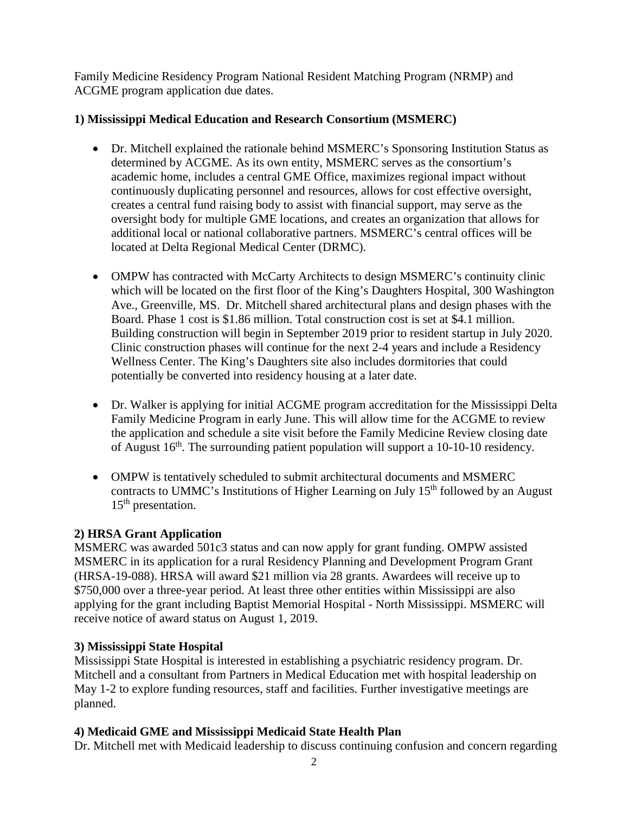Family Medicine Residency Program National Resident Matching Program (NRMP) and ACGME program application due dates.

## **1) Mississippi Medical Education and Research Consortium (MSMERC)**

- Dr. Mitchell explained the rationale behind MSMERC's Sponsoring Institution Status as determined by ACGME. As its own entity, MSMERC serves as the consortium's academic home, includes a central GME Office, maximizes regional impact without continuously duplicating personnel and resources, allows for cost effective oversight, creates a central fund raising body to assist with financial support, may serve as the oversight body for multiple GME locations, and creates an organization that allows for additional local or national collaborative partners. MSMERC's central offices will be located at Delta Regional Medical Center (DRMC).
- OMPW has contracted with McCarty Architects to design MSMERC's continuity clinic which will be located on the first floor of the King's Daughters Hospital, 300 Washington Ave., Greenville, MS. Dr. Mitchell shared architectural plans and design phases with the Board. Phase 1 cost is \$1.86 million. Total construction cost is set at \$4.1 million. Building construction will begin in September 2019 prior to resident startup in July 2020. Clinic construction phases will continue for the next 2-4 years and include a Residency Wellness Center. The King's Daughters site also includes dormitories that could potentially be converted into residency housing at a later date.
- Dr. Walker is applying for initial ACGME program accreditation for the Mississippi Delta Family Medicine Program in early June. This will allow time for the ACGME to review the application and schedule a site visit before the Family Medicine Review closing date of August  $16<sup>th</sup>$ . The surrounding patient population will support a 10-10-10 residency.
- OMPW is tentatively scheduled to submit architectural documents and MSMERC contracts to UMMC's Institutions of Higher Learning on July  $15<sup>th</sup>$  followed by an August  $15<sup>th</sup>$  presentation.

## **2) HRSA Grant Application**

MSMERC was awarded 501c3 status and can now apply for grant funding. OMPW assisted MSMERC in its application for a rural Residency Planning and Development Program Grant (HRSA-19-088). HRSA will award \$21 million via 28 grants. Awardees will receive up to \$750,000 over a three-year period. At least three other entities within Mississippi are also applying for the grant including Baptist Memorial Hospital - North Mississippi. MSMERC will receive notice of award status on August 1, 2019.

## **3) Mississippi State Hospital**

Mississippi State Hospital is interested in establishing a psychiatric residency program. Dr. Mitchell and a consultant from Partners in Medical Education met with hospital leadership on May 1-2 to explore funding resources, staff and facilities. Further investigative meetings are planned.

## **4) Medicaid GME and Mississippi Medicaid State Health Plan**

Dr. Mitchell met with Medicaid leadership to discuss continuing confusion and concern regarding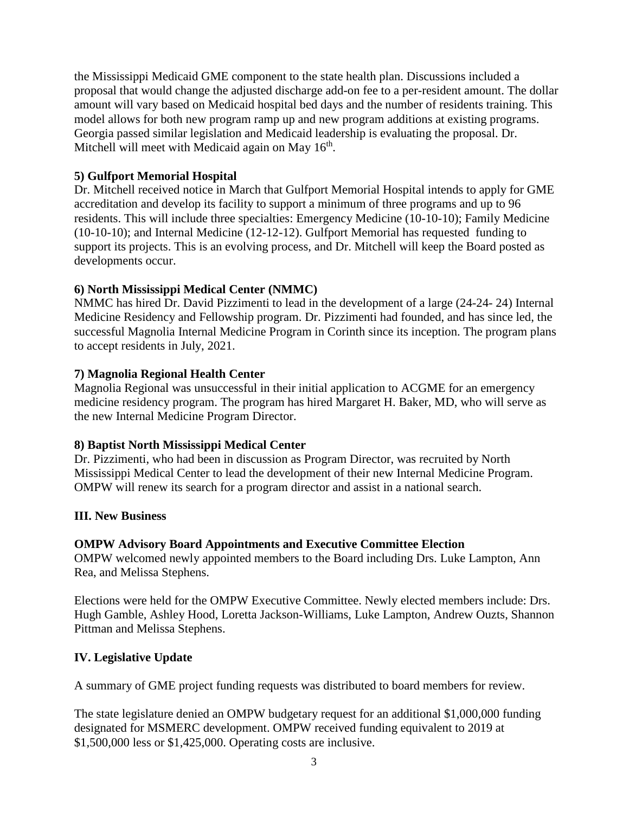the Mississippi Medicaid GME component to the state health plan. Discussions included a proposal that would change the adjusted discharge add-on fee to a per-resident amount. The dollar amount will vary based on Medicaid hospital bed days and the number of residents training. This model allows for both new program ramp up and new program additions at existing programs. Georgia passed similar legislation and Medicaid leadership is evaluating the proposal. Dr. Mitchell will meet with Medicaid again on May  $16<sup>th</sup>$ .

## **5) Gulfport Memorial Hospital**

Dr. Mitchell received notice in March that Gulfport Memorial Hospital intends to apply for GME accreditation and develop its facility to support a minimum of three programs and up to 96 residents. This will include three specialties: Emergency Medicine (10-10-10); Family Medicine (10-10-10); and Internal Medicine (12-12-12). Gulfport Memorial has requested funding to support its projects. This is an evolving process, and Dr. Mitchell will keep the Board posted as developments occur.

#### **6) North Mississippi Medical Center (NMMC)**

NMMC has hired Dr. David Pizzimenti to lead in the development of a large (24-24- 24) Internal Medicine Residency and Fellowship program. Dr. Pizzimenti had founded, and has since led, the successful Magnolia Internal Medicine Program in Corinth since its inception. The program plans to accept residents in July, 2021.

#### **7) Magnolia Regional Health Center**

Magnolia Regional was unsuccessful in their initial application to ACGME for an emergency medicine residency program. The program has hired Margaret H. Baker, MD, who will serve as the new Internal Medicine Program Director.

#### **8) Baptist North Mississippi Medical Center**

Dr. Pizzimenti, who had been in discussion as Program Director, was recruited by North Mississippi Medical Center to lead the development of their new Internal Medicine Program. OMPW will renew its search for a program director and assist in a national search.

#### **III. New Business**

#### **OMPW Advisory Board Appointments and Executive Committee Election**

OMPW welcomed newly appointed members to the Board including Drs. Luke Lampton, Ann Rea, and Melissa Stephens.

Elections were held for the OMPW Executive Committee. Newly elected members include: Drs. Hugh Gamble, Ashley Hood, Loretta Jackson-Williams, Luke Lampton, Andrew Ouzts, Shannon Pittman and Melissa Stephens.

## **IV. Legislative Update**

A summary of GME project funding requests was distributed to board members for review.

The state legislature denied an OMPW budgetary request for an additional \$1,000,000 funding designated for MSMERC development. OMPW received funding equivalent to 2019 at \$1,500,000 less or \$1,425,000. Operating costs are inclusive.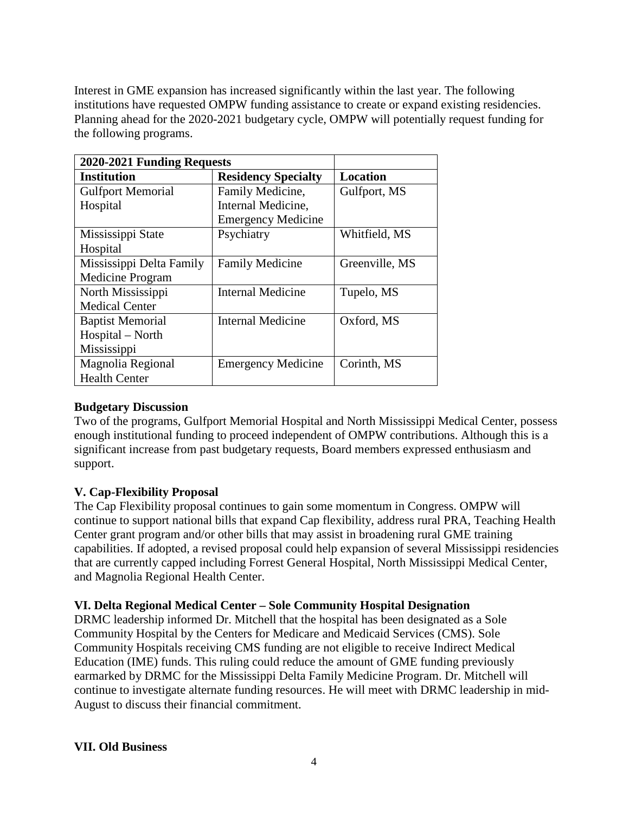Interest in GME expansion has increased significantly within the last year. The following institutions have requested OMPW funding assistance to create or expand existing residencies. Planning ahead for the 2020-2021 budgetary cycle, OMPW will potentially request funding for the following programs.

| 2020-2021 Funding Requests |                            |                 |
|----------------------------|----------------------------|-----------------|
| <b>Institution</b>         | <b>Residency Specialty</b> | <b>Location</b> |
| <b>Gulfport Memorial</b>   | Family Medicine,           | Gulfport, MS    |
| Hospital                   | Internal Medicine,         |                 |
|                            | <b>Emergency Medicine</b>  |                 |
| Mississippi State          | Psychiatry                 | Whitfield, MS   |
| Hospital                   |                            |                 |
| Mississippi Delta Family   | <b>Family Medicine</b>     | Greenville, MS  |
| <b>Medicine Program</b>    |                            |                 |
| North Mississippi          | <b>Internal Medicine</b>   | Tupelo, MS      |
| <b>Medical Center</b>      |                            |                 |
| <b>Baptist Memorial</b>    | <b>Internal Medicine</b>   | Oxford, MS      |
| Hospital – North           |                            |                 |
| Mississippi                |                            |                 |
| Magnolia Regional          | <b>Emergency Medicine</b>  | Corinth, MS     |
| <b>Health Center</b>       |                            |                 |

### **Budgetary Discussion**

Two of the programs, Gulfport Memorial Hospital and North Mississippi Medical Center, possess enough institutional funding to proceed independent of OMPW contributions. Although this is a significant increase from past budgetary requests, Board members expressed enthusiasm and support.

## **V. Cap-Flexibility Proposal**

The Cap Flexibility proposal continues to gain some momentum in Congress. OMPW will continue to support national bills that expand Cap flexibility, address rural PRA, Teaching Health Center grant program and/or other bills that may assist in broadening rural GME training capabilities. If adopted, a revised proposal could help expansion of several Mississippi residencies that are currently capped including Forrest General Hospital, North Mississippi Medical Center, and Magnolia Regional Health Center.

#### **VI. Delta Regional Medical Center – Sole Community Hospital Designation**

DRMC leadership informed Dr. Mitchell that the hospital has been designated as a Sole Community Hospital by the Centers for Medicare and Medicaid Services (CMS). Sole Community Hospitals receiving CMS funding are not eligible to receive Indirect Medical Education (IME) funds. This ruling could reduce the amount of GME funding previously earmarked by DRMC for the Mississippi Delta Family Medicine Program. Dr. Mitchell will continue to investigate alternate funding resources. He will meet with DRMC leadership in mid-August to discuss their financial commitment.

#### **VII. Old Business**